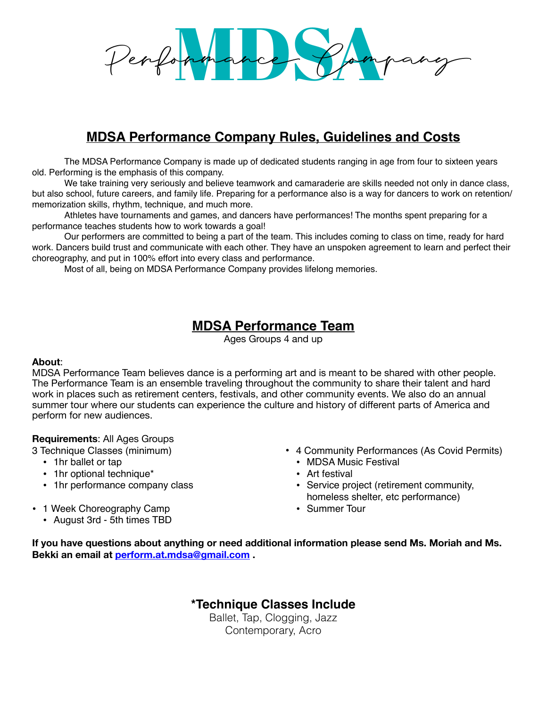# Performance Pampany

# **MDSA Performance Company Rules, Guidelines and Costs**

The MDSA Performance Company is made up of dedicated students ranging in age from four to sixteen years old. Performing is the emphasis of this company.

We take training very seriously and believe teamwork and camaraderie are skills needed not only in dance class, but also school, future careers, and family life. Preparing for a performance also is a way for dancers to work on retention/ memorization skills, rhythm, technique, and much more.

Athletes have tournaments and games, and dancers have performances! The months spent preparing for a performance teaches students how to work towards a goal!

Our performers are committed to being a part of the team. This includes coming to class on time, ready for hard work. Dancers build trust and communicate with each other. They have an unspoken agreement to learn and perfect their choreography, and put in 100% effort into every class and performance.

Most of all, being on MDSA Performance Company provides lifelong memories.

# **MDSA Performance Team**

Ages Groups 4 and up

# **About**:

MDSA Performance Team believes dance is a performing art and is meant to be shared with other people. The Performance Team is an ensemble traveling throughout the community to share their talent and hard work in places such as retirement centers, festivals, and other community events. We also do an annual summer tour where our students can experience the culture and history of different parts of America and perform for new audiences.

# **Requirements**: All Ages Groups

3 Technique Classes (minimum)

- 1hr ballet or tap
- 1hr optional technique\*
- 1hr performance company class
- 1 Week Choreography Camp
	- August 3rd 5th times TBD
- 4 Community Performances (As Covid Permits)
	- MDSA Music Festival
	- Art festival
	- Service project (retirement community, homeless shelter, etc performance)
	- Summer Tour

**If you have questions about anything or need additional information please send Ms. Moriah and Ms. Bekki an email at perform.at.mdsa@gmail.com .** 

**\*Technique Classes Include**

Ballet, Tap, Clogging, Jazz Contemporary, Acro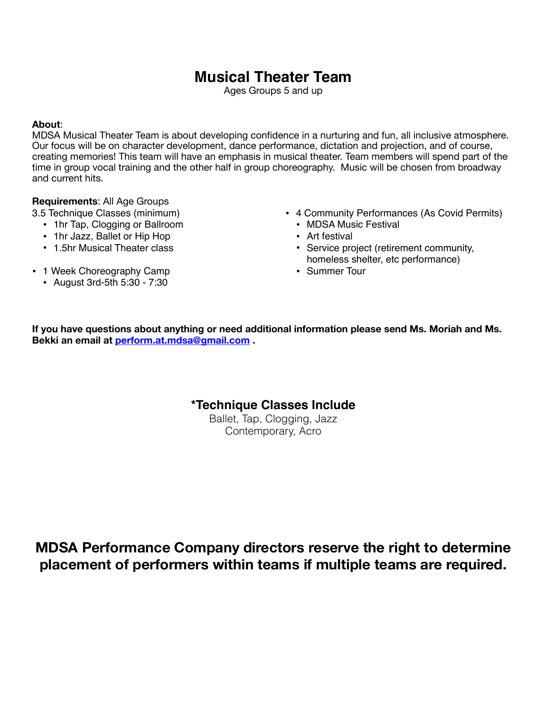# **Musical Theater Team**

Ages Groups 5 and up

### **About**:

MDSA Musical Theater Team is about developing confidence in a nurturing and fun, all inclusive atmosphere. Our focus will be on character development, dance performance, dictation and projection, and of course, creating memories! This team will have an emphasis in musical theater. Team members will spend part of the time in group vocal training and the other half in group choreography. Music will be chosen from broadway and current hits.

# **Requirements**: All Age Groups

3.5 Technique Classes (minimum)

- 1hr Tap, Clogging or Ballroom
- 1hr Jazz, Ballet or Hip Hop
- 1.5hr Musical Theater class
- 1 Week Choreography Camp
	- August 3rd-5th 5:30 7:30
- 4 Community Performances (As Covid Permits)
	- MDSA Music Festival
	- Art festival
	- Service project (retirement community, homeless shelter, etc performance)
	- Summer Tour

**If you have questions about anything or need additional information please send Ms. Moriah and Ms. Bekki an email at perform.at.mdsa@gmail.com .** 

# **\*Technique Classes Include**

Ballet, Tap, Clogging, Jazz Contemporary, Acro

**MDSA Performance Company directors reserve the right to determine placement of performers within teams if multiple teams are required.**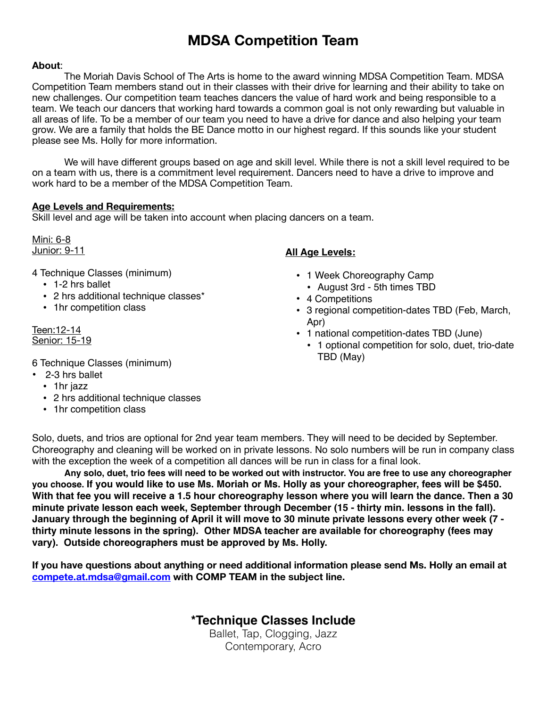# **MDSA Competition Team**

### **About**:

The Moriah Davis School of The Arts is home to the award winning MDSA Competition Team. MDSA Competition Team members stand out in their classes with their drive for learning and their ability to take on new challenges. Our competition team teaches dancers the value of hard work and being responsible to a team. We teach our dancers that working hard towards a common goal is not only rewarding but valuable in all areas of life. To be a member of our team you need to have a drive for dance and also helping your team grow. We are a family that holds the BE Dance motto in our highest regard. If this sounds like your student please see Ms. Holly for more information.

We will have different groups based on age and skill level. While there is not a skill level required to be on a team with us, there is a commitment level requirement. Dancers need to have a drive to improve and work hard to be a member of the MDSA Competition Team.

### **Age Levels and Requirements:**

Skill level and age will be taken into account when placing dancers on a team.

Mini: 6-8 Junior: 9-11

4 Technique Classes (minimum)

- 1-2 hrs ballet
- 2 hrs additional technique classes\*
- 1hr competition class

Teen:12-14 Senior: 15-19

6 Technique Classes (minimum)

- 2-3 hrs ballet
	- 1hr jazz
	- 2 hrs additional technique classes
	- 1hr competition class

# **All Age Levels:**

- 1 Week Choreography Camp
	- August 3rd 5th times TBD
- 4 Competitions
- 3 regional competition-dates TBD (Feb, March, Apr)
- 1 national competition-dates TBD (June)
	- 1 optional competition for solo, duet, trio-date TBD (May)

Solo, duets, and trios are optional for 2nd year team members. They will need to be decided by September. Choreography and cleaning will be worked on in private lessons. No solo numbers will be run in company class with the exception the week of a competition all dances will be run in class for a final look.

**Any solo, duet, trio fees will need to be worked out with instructor. You are free to use any choreographer you choose. If you would like to use Ms. Moriah or Ms. Holly as your choreographer, fees will be \$450. With that fee you will receive a 1.5 hour choreography lesson where you will learn the dance. Then a 30 minute private lesson each week, September through December (15 - thirty min. lessons in the fall). January through the beginning of April it will move to 30 minute private lessons every other week (7 thirty minute lessons in the spring). Other MDSA teacher are available for choreography (fees may vary). Outside choreographers must be approved by Ms. Holly.**

**If you have questions about anything or need additional information please send Ms. Holly an email at compete.at.mdsa@gmail.com with COMP TEAM in the subject line.** 

> **\*Technique Classes Include** Ballet, Tap, Clogging, Jazz

Contemporary, Acro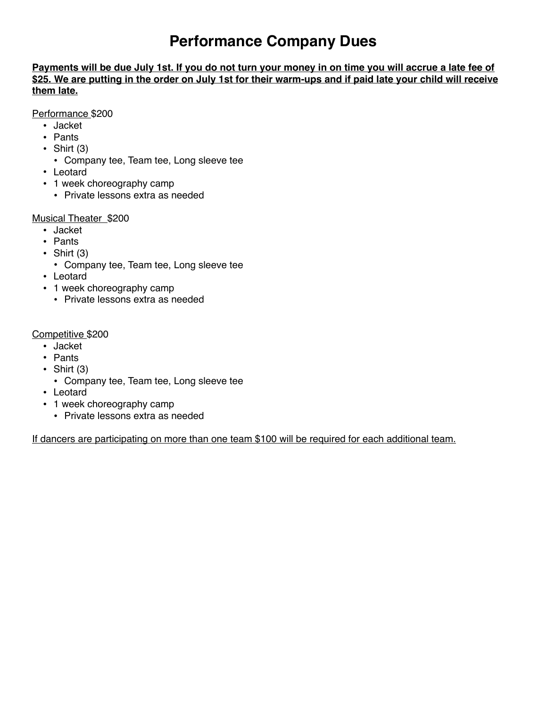# **Performance Company Dues**

**Payments will be due July 1st. If you do not turn your money in on time you will accrue a late fee of \$25. We are putting in the order on July 1st for their warm-ups and if paid late your child will receive them late.**

Performance \$200

- Jacket
- Pants
- $\bullet$  Shirt (3)
	- Company tee, Team tee, Long sleeve tee
- Leotard
- 1 week choreography camp
	- Private lessons extra as needed

# Musical Theater \$200

- Jacket
- Pants
- Shirt  $(3)$ 
	- Company tee, Team tee, Long sleeve tee
- Leotard
- 1 week choreography camp
	- Private lessons extra as needed

# Competitive \$200

- Jacket
- Pants
- Shirt  $(3)$
- Company tee, Team tee, Long sleeve tee
- Leotard
- 1 week choreography camp
	- Private lessons extra as needed

If dancers are participating on more than one team \$100 will be required for each additional team.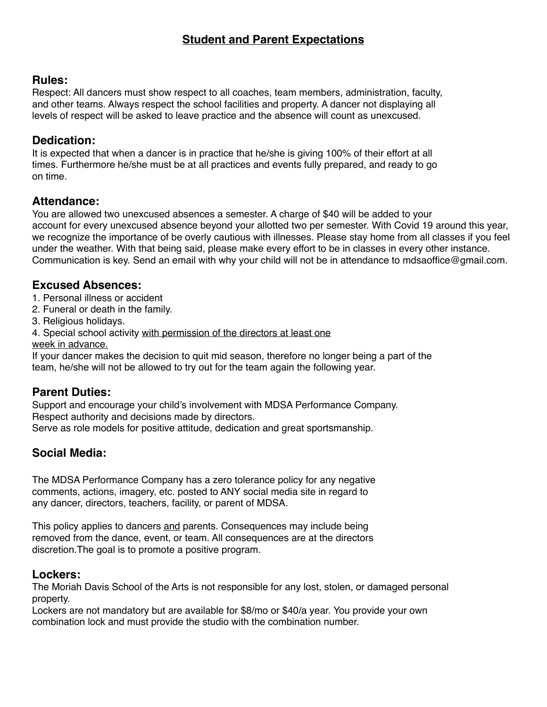# **Rules:**

Respect: All dancers must show respect to all coaches, team members, administration, faculty, and other teams. Always respect the school facilities and property. A dancer not displaying all levels of respect will be asked to leave practice and the absence will count as unexcused.

# **Dedication:**

It is expected that when a dancer is in practice that he/she is giving 100% of their effort at all times. Furthermore he/she must be at all practices and events fully prepared, and ready to go on time.

# **Attendance:**

You are allowed two unexcused absences a semester. A charge of \$40 will be added to your account for every unexcused absence beyond your allotted two per semester. With Covid 19 around this year, we recognize the importance of be overly cautious with illnesses. Please stay home from all classes if you feel under the weather. With that being said, please make every effort to be in classes in every other instance. Communication is key. Send an email with why your child will not be in attendance to mdsaoffice@gmail.com.

# **Excused Absences:**

- 1. Personal illness or accident
- 2. Funeral or death in the family.
- 3. Religious holidays.
- 4. Special school activity with permission of the directors at least one week in advance.

If your dancer makes the decision to quit mid season, therefore no longer being a part of the team, he/she will not be allowed to try out for the team again the following year.

# **Parent Duties:**

Support and encourage your child's involvement with MDSA Performance Company. Respect authority and decisions made by directors. Serve as role models for positive attitude, dedication and great sportsmanship.

# **Social Media:**

The MDSA Performance Company has a zero tolerance policy for any negative comments, actions, imagery, etc. posted to ANY social media site in regard to any dancer, directors, teachers, facility, or parent of MDSA.

This policy applies to dancers and parents. Consequences may include being removed from the dance, event, or team. All consequences are at the directors discretion.The goal is to promote a positive program.

# **Lockers:**

The Moriah Davis School of the Arts is not responsible for any lost, stolen, or damaged personal property.

Lockers are not mandatory but are available for \$8/mo or \$40/a year. You provide your own combination lock and must provide the studio with the combination number.